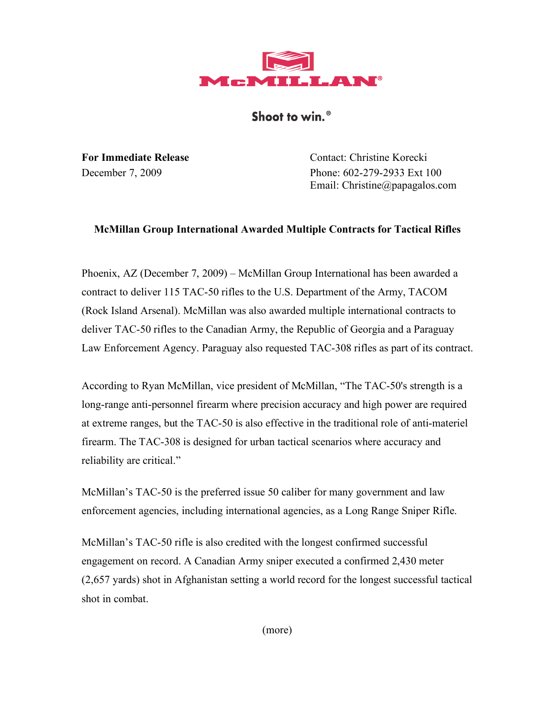

Shoot to win.<sup>®</sup>

**For Immediate Release** Contact: Christine Korecki December 7, 2009 Phone: 602-279-2933 Ext 100 Email: Christine@papagalos.com

## **McMillan Group International Awarded Multiple Contracts for Tactical Rifles**

Phoenix, AZ (December 7, 2009) – McMillan Group International has been awarded a contract to deliver 115 TAC-50 rifles to the U.S. Department of the Army, TACOM (Rock Island Arsenal). McMillan was also awarded multiple international contracts to deliver TAC-50 rifles to the Canadian Army, the Republic of Georgia and a Paraguay Law Enforcement Agency. Paraguay also requested TAC-308 rifles as part of its contract.

According to Ryan McMillan, vice president of McMillan, "The TAC-50's strength is a long-range anti-personnel firearm where precision accuracy and high power are required at extreme ranges, but the TAC-50 is also effective in the traditional role of anti-materiel firearm. The TAC-308 is designed for urban tactical scenarios where accuracy and reliability are critical."

McMillan's TAC-50 is the preferred issue 50 caliber for many government and law enforcement agencies, including international agencies, as a Long Range Sniper Rifle.

McMillan's TAC-50 rifle is also credited with the longest confirmed successful engagement on record. A Canadian Army sniper executed a confirmed 2,430 meter (2,657 yards) shot in Afghanistan setting a world record for the longest successful tactical shot in combat.

(more)